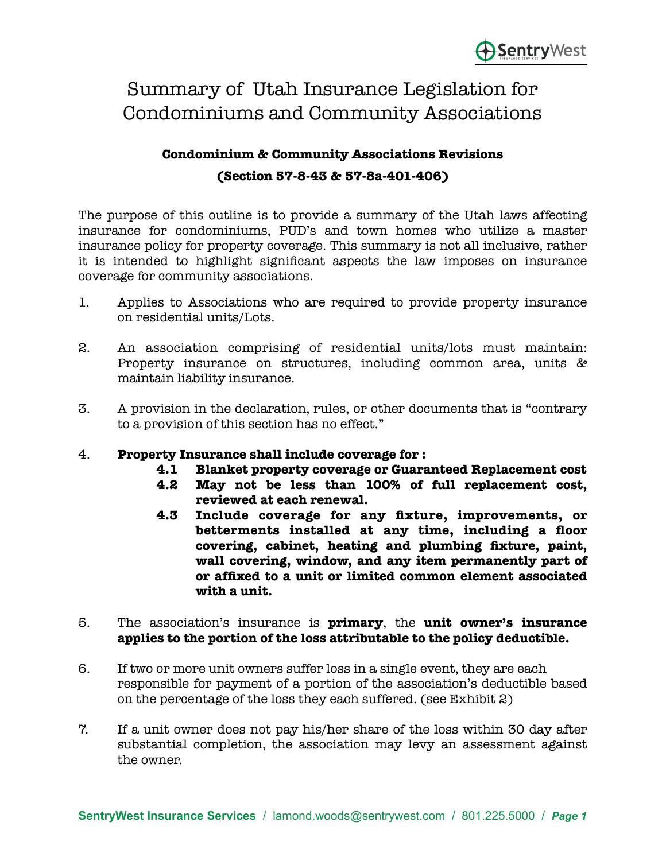# Summary of Utah Insurance Legislation for Condominiums and Community Associations

# **Condominium & Community Associations Revisions (Section 57-8-43 & 57-8a-401-406)**

 The purpose of this outline is to provide a summary of the Utah laws affecting insurance for condominiums, PUD's and town homes who utilize a master insurance policy for property coverage. This summary is not all inclusive, rather it is intended to highlight significant aspects the law imposes on insurance coverage for community associations.

- 1. Applies to Associations who are required to provide property insurance on residential units/Lots.
- 2. An association comprising of residential units/lots must maintain: Property insurance on structures, including common area, units & maintain liability insurance.
- 3. A provision in the declaration, rules, or other documents that is "contrary to a provision of this section has no effect."

### 4. **Property Insurance shall include coverage for :**

- **4.1 Blanket property coverage or Guaranteed Replacement cost**
- **4.2 May not be less than 100% of full replacement cost, reviewed at each renewal.**
- **4.3 Include coverage for any fixture, improvements, or betterments installed at any time, including a floor covering, cabinet, heating and plumbing fixture, paint,**  wall covering, window, and any item permanently part of  **or affixed to a unit or limited common element associated with a unit.**
- 5. The association's insurance is **primary**, the **unit owner's insurance applies to the portion of the loss attributable to the policy deductible.**
- 6. If two or more unit owners suffer loss in a single event, they are each responsible for payment of a portion of the association's deductible based on the percentage of the loss they each suffered. (see Exhibit 2)
- 7. If a unit owner does not pay his/her share of the loss within 30 day after substantial completion, the association may levy an assessment against the owner.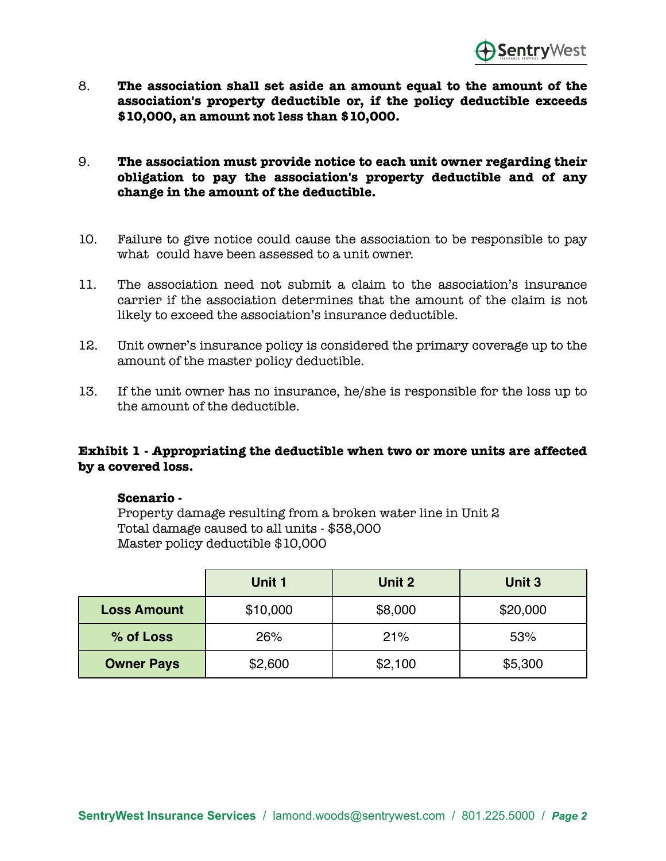

- 8. **The association shall set aside an amount equal to the amount of the association's property deductible or, if the policy deductible exceeds \$10,000, an amount not less than \$10,000.**
- 9. **The association must provide notice to each unit owner regarding their obligation to pay the association's property deductible and of any change in the amount of the deductible.**
- 10. Failure to give notice could cause the association to be responsible to pay what could have been assessed to a unit owner.
- 11. The association need not submit a claim to the association's insurance carrier if the association determines that the amount of the claim is not likely to exceed the association's insurance deductible.
- 12. Unit owner's insurance policy is considered the primary coverage up to the amount of the master policy deductible.
- 13. If the unit owner has no insurance, he/she is responsible for the loss up to the amount of the deductible.

#### **Exhibit 1 - Appropriating the deductible when two or more units are affected by a covered loss.**

#### **Scenario -**

Property damage resulting from a broken water line in Unit 2 Total damage caused to all units - \$38,000 Master policy deductible \$10,000

|                    | Unit 1   | Unit 2  | Unit 3   |
|--------------------|----------|---------|----------|
| <b>Loss Amount</b> | \$10,000 | \$8,000 | \$20,000 |
| % of Loss          | 26%      | 21%     | 53%      |
| <b>Owner Pays</b>  | \$2,600  | \$2,100 | \$5,300  |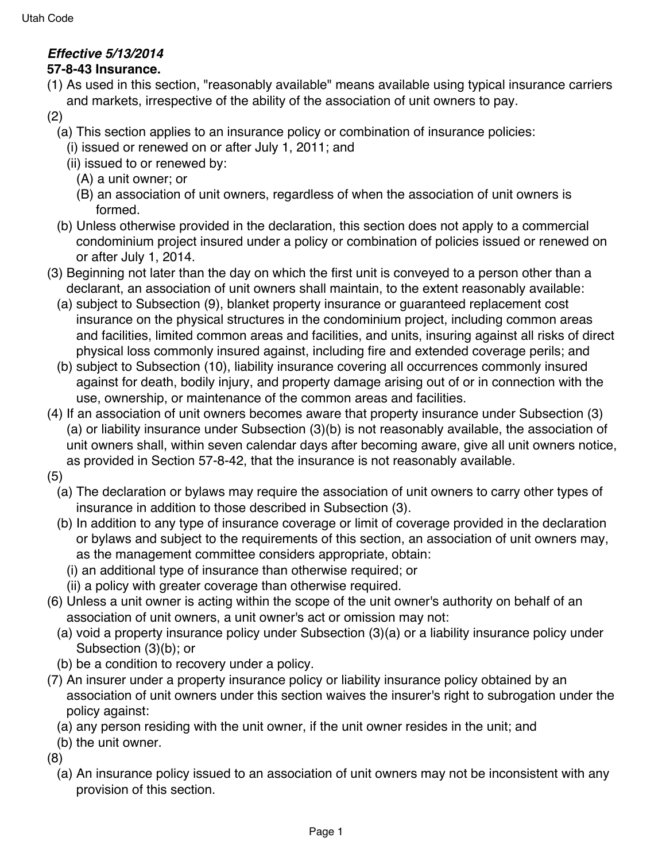# *Effective 5/13/2014*

## **57-8-43 Insurance.**

- (1) As used in this section, "reasonably available" means available using typical insurance carriers and markets, irrespective of the ability of the association of unit owners to pay.
- (2)
	- (a) This section applies to an insurance policy or combination of insurance policies:
		- (i) issued or renewed on or after July 1, 2011; and
		- (ii) issued to or renewed by:
			- (A) a unit owner; or
			- (B) an association of unit owners, regardless of when the association of unit owners is formed.
	- (b) Unless otherwise provided in the declaration, this section does not apply to a commercial condominium project insured under a policy or combination of policies issued or renewed on or after July 1, 2014.
- (3) Beginning not later than the day on which the first unit is conveyed to a person other than a declarant, an association of unit owners shall maintain, to the extent reasonably available:
	- (a) subject to Subsection (9), blanket property insurance or guaranteed replacement cost insurance on the physical structures in the condominium project, including common areas and facilities, limited common areas and facilities, and units, insuring against all risks of direct physical loss commonly insured against, including fire and extended coverage perils; and
	- (b) subject to Subsection (10), liability insurance covering all occurrences commonly insured against for death, bodily injury, and property damage arising out of or in connection with the use, ownership, or maintenance of the common areas and facilities.
- (4) If an association of unit owners becomes aware that property insurance under Subsection (3) (a) or liability insurance under Subsection (3)(b) is not reasonably available, the association of unit owners shall, within seven calendar days after becoming aware, give all unit owners notice, as provided in Section 57-8-42, that the insurance is not reasonably available.
- (5)
	- (a) The declaration or bylaws may require the association of unit owners to carry other types of insurance in addition to those described in Subsection (3).
	- (b) In addition to any type of insurance coverage or limit of coverage provided in the declaration or bylaws and subject to the requirements of this section, an association of unit owners may, as the management committee considers appropriate, obtain:
		- (i) an additional type of insurance than otherwise required; or
		- (ii) a policy with greater coverage than otherwise required.
- (6) Unless a unit owner is acting within the scope of the unit owner's authority on behalf of an association of unit owners, a unit owner's act or omission may not:
	- (a) void a property insurance policy under Subsection (3)(a) or a liability insurance policy under Subsection (3)(b); or
- (b) be a condition to recovery under a policy.
- (7) An insurer under a property insurance policy or liability insurance policy obtained by an association of unit owners under this section waives the insurer's right to subrogation under the policy against:
	- (a) any person residing with the unit owner, if the unit owner resides in the unit; and
	- (b) the unit owner.
- (8)
	- (a) An insurance policy issued to an association of unit owners may not be inconsistent with any provision of this section.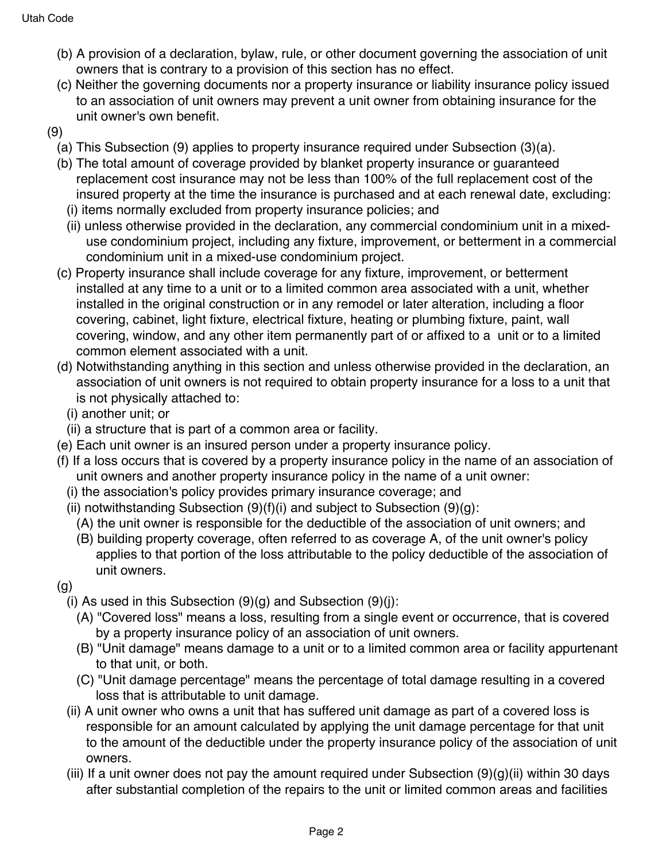- (b) A provision of a declaration, bylaw, rule, or other document governing the association of unit owners that is contrary to a provision of this section has no effect.
- (c) Neither the governing documents nor a property insurance or liability insurance policy issued to an association of unit owners may prevent a unit owner from obtaining insurance for the unit owner's own benefit.
- (9)
	- (a) This Subsection (9) applies to property insurance required under Subsection (3)(a).
	- (b) The total amount of coverage provided by blanket property insurance or guaranteed replacement cost insurance may not be less than 100% of the full replacement cost of the insured property at the time the insurance is purchased and at each renewal date, excluding:
	- (i) items normally excluded from property insurance policies; and
	- (ii) unless otherwise provided in the declaration, any commercial condominium unit in a mixeduse condominium project, including any fixture, improvement, or betterment in a commercial condominium unit in a mixed-use condominium project.
	- (c) Property insurance shall include coverage for any fixture, improvement, or betterment installed at any time to a unit or to a limited common area associated with a unit, whether installed in the original construction or in any remodel or later alteration, including a floor covering, cabinet, light fixture, electrical fixture, heating or plumbing fixture, paint, wall covering, window, and any other item permanently part of or affixed to a unit or to a limited common element associated with a unit.
	- (d) Notwithstanding anything in this section and unless otherwise provided in the declaration, an association of unit owners is not required to obtain property insurance for a loss to a unit that is not physically attached to:
		- (i) another unit; or
	- (ii) a structure that is part of a common area or facility.
	- (e) Each unit owner is an insured person under a property insurance policy.
	- (f) If a loss occurs that is covered by a property insurance policy in the name of an association of unit owners and another property insurance policy in the name of a unit owner:
		- (i) the association's policy provides primary insurance coverage; and
		- (ii) notwithstanding Subsection  $(9)(f)(i)$  and subject to Subsection  $(9)(g)$ :
			- (A) the unit owner is responsible for the deductible of the association of unit owners; and
			- (B) building property coverage, often referred to as coverage A, of the unit owner's policy applies to that portion of the loss attributable to the policy deductible of the association of unit owners.
	- (g)
		- (i) As used in this Subsection  $(9)(q)$  and Subsection  $(9)(i)$ :
			- (A) "Covered loss" means a loss, resulting from a single event or occurrence, that is covered by a property insurance policy of an association of unit owners.
			- (B) "Unit damage" means damage to a unit or to a limited common area or facility appurtenant to that unit, or both.
			- (C) "Unit damage percentage" means the percentage of total damage resulting in a covered loss that is attributable to unit damage.
		- (ii) A unit owner who owns a unit that has suffered unit damage as part of a covered loss is responsible for an amount calculated by applying the unit damage percentage for that unit to the amount of the deductible under the property insurance policy of the association of unit owners.
		- (iii) If a unit owner does not pay the amount required under Subsection  $(9)(q)(ii)$  within 30 days after substantial completion of the repairs to the unit or limited common areas and facilities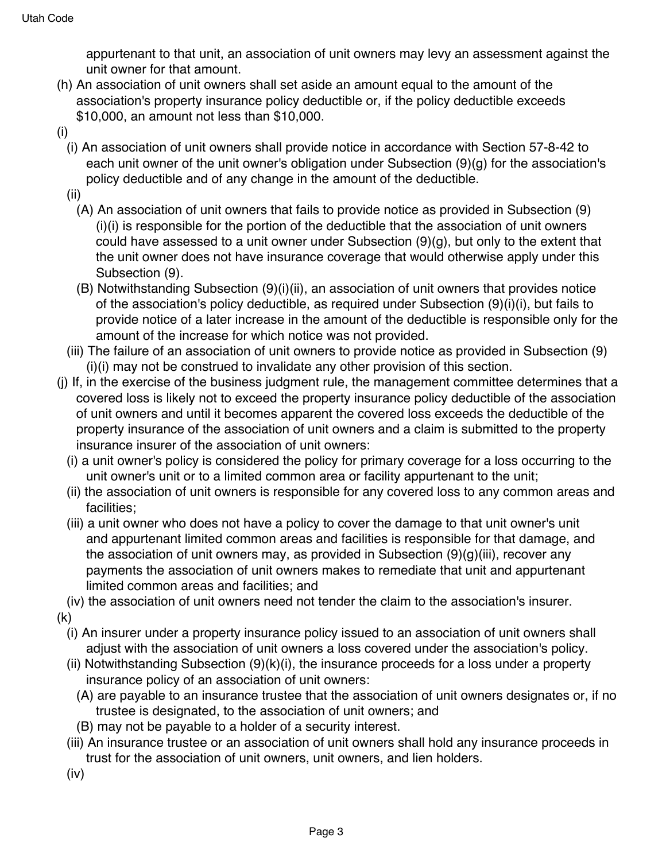appurtenant to that unit, an association of unit owners may levy an assessment against the unit owner for that amount.

- (h) An association of unit owners shall set aside an amount equal to the amount of the association's property insurance policy deductible or, if the policy deductible exceeds \$10,000, an amount not less than \$10,000.
- (i)
	- (i) An association of unit owners shall provide notice in accordance with Section 57-8-42 to each unit owner of the unit owner's obligation under Subsection (9)(g) for the association's policy deductible and of any change in the amount of the deductible.
	- (ii)
		- (A) An association of unit owners that fails to provide notice as provided in Subsection (9) (i)(i) is responsible for the portion of the deductible that the association of unit owners could have assessed to a unit owner under Subsection  $(9)(q)$ , but only to the extent that the unit owner does not have insurance coverage that would otherwise apply under this Subsection (9).
		- (B) Notwithstanding Subsection (9)(i)(ii), an association of unit owners that provides notice of the association's policy deductible, as required under Subsection (9)(i)(i), but fails to provide notice of a later increase in the amount of the deductible is responsible only for the amount of the increase for which notice was not provided.
	- (iii) The failure of an association of unit owners to provide notice as provided in Subsection (9) (i)(i) may not be construed to invalidate any other provision of this section.
- (j) If, in the exercise of the business judgment rule, the management committee determines that a covered loss is likely not to exceed the property insurance policy deductible of the association of unit owners and until it becomes apparent the covered loss exceeds the deductible of the property insurance of the association of unit owners and a claim is submitted to the property insurance insurer of the association of unit owners:
	- (i) a unit owner's policy is considered the policy for primary coverage for a loss occurring to the unit owner's unit or to a limited common area or facility appurtenant to the unit;
	- (ii) the association of unit owners is responsible for any covered loss to any common areas and facilities;
	- (iii) a unit owner who does not have a policy to cover the damage to that unit owner's unit and appurtenant limited common areas and facilities is responsible for that damage, and the association of unit owners may, as provided in Subsection (9)(g)(iii), recover any payments the association of unit owners makes to remediate that unit and appurtenant limited common areas and facilities; and
	- (iv) the association of unit owners need not tender the claim to the association's insurer.
- (k)
	- (i) An insurer under a property insurance policy issued to an association of unit owners shall adjust with the association of unit owners a loss covered under the association's policy.
	- (ii) Notwithstanding Subsection (9)(k)(i), the insurance proceeds for a loss under a property insurance policy of an association of unit owners:
		- (A) are payable to an insurance trustee that the association of unit owners designates or, if no trustee is designated, to the association of unit owners; and
		- (B) may not be payable to a holder of a security interest.
	- (iii) An insurance trustee or an association of unit owners shall hold any insurance proceeds in trust for the association of unit owners, unit owners, and lien holders.
	- (iv)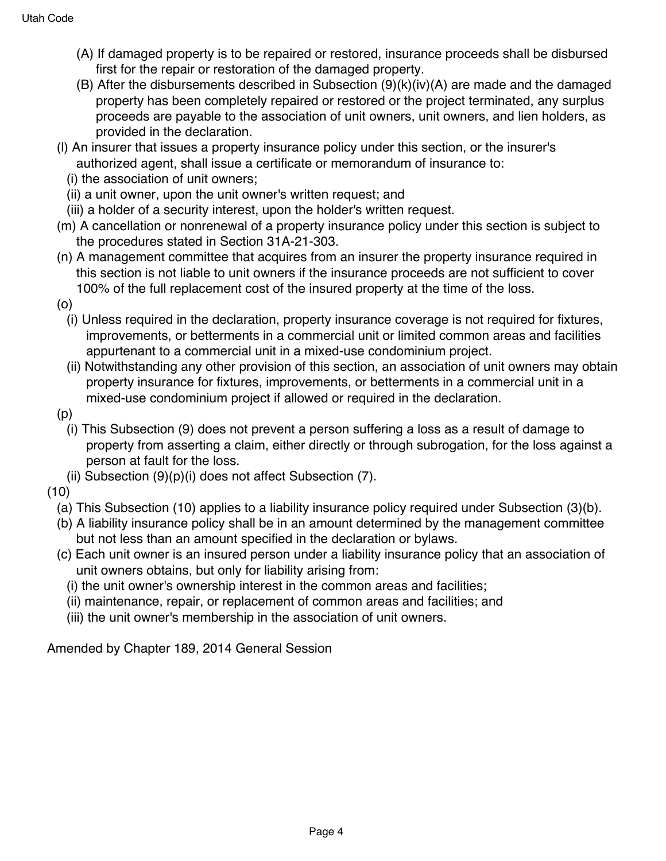- (A) If damaged property is to be repaired or restored, insurance proceeds shall be disbursed first for the repair or restoration of the damaged property.
- (B) After the disbursements described in Subsection (9)(k)(iv)(A) are made and the damaged property has been completely repaired or restored or the project terminated, any surplus proceeds are payable to the association of unit owners, unit owners, and lien holders, as provided in the declaration.
- (l) An insurer that issues a property insurance policy under this section, or the insurer's authorized agent, shall issue a certificate or memorandum of insurance to:
	- (i) the association of unit owners;
	- (ii) a unit owner, upon the unit owner's written request; and
	- (iii) a holder of a security interest, upon the holder's written request.
- (m) A cancellation or nonrenewal of a property insurance policy under this section is subject to the procedures stated in Section 31A-21-303.
- (n) A management committee that acquires from an insurer the property insurance required in this section is not liable to unit owners if the insurance proceeds are not sufficient to cover 100% of the full replacement cost of the insured property at the time of the loss.
- (o)
	- (i) Unless required in the declaration, property insurance coverage is not required for fixtures, improvements, or betterments in a commercial unit or limited common areas and facilities appurtenant to a commercial unit in a mixed-use condominium project.
	- (ii) Notwithstanding any other provision of this section, an association of unit owners may obtain property insurance for fixtures, improvements, or betterments in a commercial unit in a mixed-use condominium project if allowed or required in the declaration.
- (p)
	- (i) This Subsection (9) does not prevent a person suffering a loss as a result of damage to property from asserting a claim, either directly or through subrogation, for the loss against a person at fault for the loss.
	- (ii) Subsection  $(9)(p)(i)$  does not affect Subsection  $(7)$ .
- (10)
	- (a) This Subsection (10) applies to a liability insurance policy required under Subsection (3)(b).
	- (b) A liability insurance policy shall be in an amount determined by the management committee but not less than an amount specified in the declaration or bylaws.
	- (c) Each unit owner is an insured person under a liability insurance policy that an association of unit owners obtains, but only for liability arising from:
		- (i) the unit owner's ownership interest in the common areas and facilities;
		- (ii) maintenance, repair, or replacement of common areas and facilities; and
		- (iii) the unit owner's membership in the association of unit owners.

Amended by Chapter 189, 2014 General Session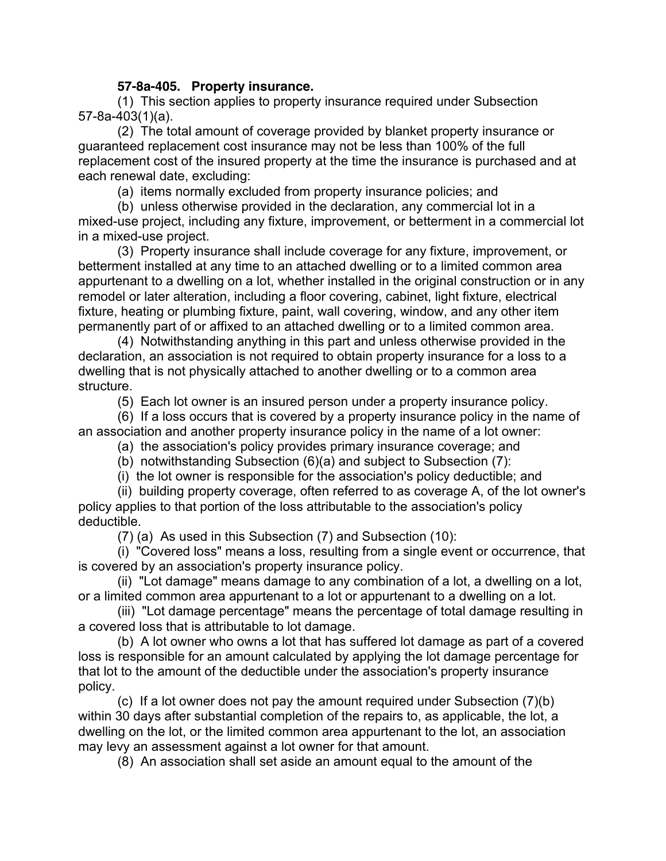### **57-8a-405. Property insurance.**

(1) This section applies to property insurance required under Subsection 57-8a-403(1)(a).

(2) The total amount of coverage provided by blanket property insurance or guaranteed replacement cost insurance may not be less than 100% of the full replacement cost of the insured property at the time the insurance is purchased and at each renewal date, excluding:

(a) items normally excluded from property insurance policies; and

(b) unless otherwise provided in the declaration, any commercial lot in a mixed-use project, including any fixture, improvement, or betterment in a commercial lot in a mixed-use project.

(3) Property insurance shall include coverage for any fixture, improvement, or betterment installed at any time to an attached dwelling or to a limited common area appurtenant to a dwelling on a lot, whether installed in the original construction or in any remodel or later alteration, including a floor covering, cabinet, light fixture, electrical fixture, heating or plumbing fixture, paint, wall covering, window, and any other item permanently part of or affixed to an attached dwelling or to a limited common area.

(4) Notwithstanding anything in this part and unless otherwise provided in the declaration, an association is not required to obtain property insurance for a loss to a dwelling that is not physically attached to another dwelling or to a common area structure.

(5) Each lot owner is an insured person under a property insurance policy.

(6) If a loss occurs that is covered by a property insurance policy in the name of an association and another property insurance policy in the name of a lot owner:

- (a) the association's policy provides primary insurance coverage; and
- (b) notwithstanding Subsection (6)(a) and subject to Subsection (7):
- (i) the lot owner is responsible for the association's policy deductible; and

(ii) building property coverage, often referred to as coverage A, of the lot owner's policy applies to that portion of the loss attributable to the association's policy deductible.

(7) (a) As used in this Subsection (7) and Subsection (10):

(i) "Covered loss" means a loss, resulting from a single event or occurrence, that is covered by an association's property insurance policy.

(ii) "Lot damage" means damage to any combination of a lot, a dwelling on a lot, or a limited common area appurtenant to a lot or appurtenant to a dwelling on a lot.

(iii) "Lot damage percentage" means the percentage of total damage resulting in a covered loss that is attributable to lot damage.

(b) A lot owner who owns a lot that has suffered lot damage as part of a covered loss is responsible for an amount calculated by applying the lot damage percentage for that lot to the amount of the deductible under the association's property insurance policy.

(c) If a lot owner does not pay the amount required under Subsection (7)(b) within 30 days after substantial completion of the repairs to, as applicable, the lot, a dwelling on the lot, or the limited common area appurtenant to the lot, an association may levy an assessment against a lot owner for that amount.

(8) An association shall set aside an amount equal to the amount of the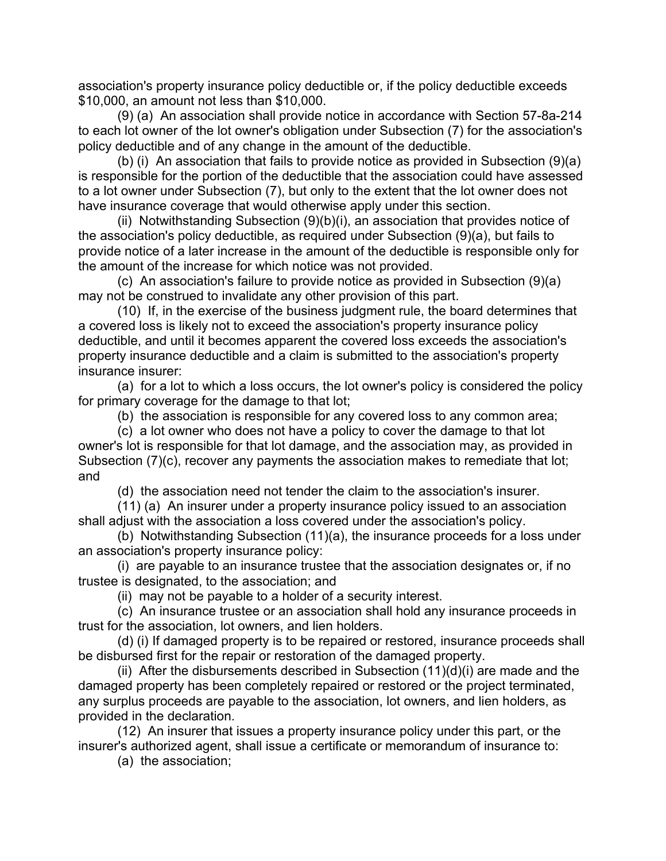association's property insurance policy deductible or, if the policy deductible exceeds \$10,000, an amount not less than \$10,000.

(9) (a) An association shall provide notice in accordance with Section 57-8a-214 to each lot owner of the lot owner's obligation under Subsection (7) for the association's policy deductible and of any change in the amount of the deductible.

(b) (i) An association that fails to provide notice as provided in Subsection (9)(a) is responsible for the portion of the deductible that the association could have assessed to a lot owner under Subsection (7), but only to the extent that the lot owner does not have insurance coverage that would otherwise apply under this section.

(ii) Notwithstanding Subsection (9)(b)(i), an association that provides notice of the association's policy deductible, as required under Subsection (9)(a), but fails to provide notice of a later increase in the amount of the deductible is responsible only for the amount of the increase for which notice was not provided.

(c) An association's failure to provide notice as provided in Subsection (9)(a) may not be construed to invalidate any other provision of this part.

(10) If, in the exercise of the business judgment rule, the board determines that a covered loss is likely not to exceed the association's property insurance policy deductible, and until it becomes apparent the covered loss exceeds the association's property insurance deductible and a claim is submitted to the association's property insurance insurer:

(a) for a lot to which a loss occurs, the lot owner's policy is considered the policy for primary coverage for the damage to that lot;

(b) the association is responsible for any covered loss to any common area;

(c) a lot owner who does not have a policy to cover the damage to that lot owner's lot is responsible for that lot damage, and the association may, as provided in Subsection (7)(c), recover any payments the association makes to remediate that lot; and

(d) the association need not tender the claim to the association's insurer.

(11) (a) An insurer under a property insurance policy issued to an association shall adjust with the association a loss covered under the association's policy.

(b) Notwithstanding Subsection (11)(a), the insurance proceeds for a loss under an association's property insurance policy:

(i) are payable to an insurance trustee that the association designates or, if no trustee is designated, to the association; and

(ii) may not be payable to a holder of a security interest.

(c) An insurance trustee or an association shall hold any insurance proceeds in trust for the association, lot owners, and lien holders.

(d) (i) If damaged property is to be repaired or restored, insurance proceeds shall be disbursed first for the repair or restoration of the damaged property.

(ii) After the disbursements described in Subsection (11)(d)(i) are made and the damaged property has been completely repaired or restored or the project terminated, any surplus proceeds are payable to the association, lot owners, and lien holders, as provided in the declaration.

(12) An insurer that issues a property insurance policy under this part, or the insurer's authorized agent, shall issue a certificate or memorandum of insurance to:

(a) the association;